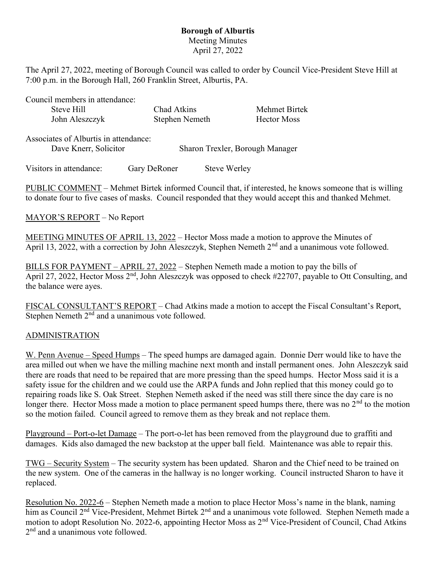## Borough of Alburtis Meeting Minutes April 27, 2022

The April 27, 2022, meeting of Borough Council was called to order by Council Vice-President Steve Hill at 7:00 p.m. in the Borough Hall, 260 Franklin Street, Alburtis, PA.

Council members in attendance:

| Steve Hill     | Chad Atkins    | Mehmet Birtek |
|----------------|----------------|---------------|
| John Aleszczyk | Stephen Nemeth | Hector Moss   |

| Associates of Alburtis in attendance: |                                 |
|---------------------------------------|---------------------------------|
| Dave Knerr, Solicitor                 | Sharon Trexler, Borough Manager |

Visitors in attendance: Gary DeRoner Steve Werley

PUBLIC COMMENT – Mehmet Birtek informed Council that, if interested, he knows someone that is willing to donate four to five cases of masks. Council responded that they would accept this and thanked Mehmet.

## MAYOR'S REPORT – No Report

MEETING MINUTES OF APRIL 13, 2022 – Hector Moss made a motion to approve the Minutes of April 13, 2022, with a correction by John Aleszczyk, Stephen Nemeth 2<sup>nd</sup> and a unanimous vote followed.

BILLS FOR PAYMENT – APRIL 27, 2022 – Stephen Nemeth made a motion to pay the bills of April 27, 2022, Hector Moss  $2<sup>nd</sup>$ , John Aleszczyk was opposed to check #22707, payable to Ott Consulting, and the balance were ayes.

FISCAL CONSULTANT'S REPORT – Chad Atkins made a motion to accept the Fiscal Consultant's Report, Stephen Nemeth  $2<sup>nd</sup>$  and a unanimous vote followed.

## ADMINISTRATION

W. Penn Avenue – Speed Humps – The speed humps are damaged again. Donnie Derr would like to have the area milled out when we have the milling machine next month and install permanent ones. John Aleszczyk said there are roads that need to be repaired that are more pressing than the speed humps. Hector Moss said it is a safety issue for the children and we could use the ARPA funds and John replied that this money could go to repairing roads like S. Oak Street. Stephen Nemeth asked if the need was still there since the day care is no longer there. Hector Moss made a motion to place permanent speed humps there, there was no  $2<sup>nd</sup>$  to the motion so the motion failed. Council agreed to remove them as they break and not replace them.

Playground – Port-o-let Damage – The port-o-let has been removed from the playground due to graffiti and damages. Kids also damaged the new backstop at the upper ball field. Maintenance was able to repair this.

TWG – Security System – The security system has been updated. Sharon and the Chief need to be trained on the new system. One of the cameras in the hallway is no longer working. Council instructed Sharon to have it replaced.

Resolution No. 2022-6 – Stephen Nemeth made a motion to place Hector Moss's name in the blank, naming him as Council 2<sup>nd</sup> Vice-President, Mehmet Birtek 2<sup>nd</sup> and a unanimous vote followed. Stephen Nemeth made a motion to adopt Resolution No. 2022-6, appointing Hector Moss as 2<sup>nd</sup> Vice-President of Council, Chad Atkins 2<sup>nd</sup> and a unanimous vote followed.